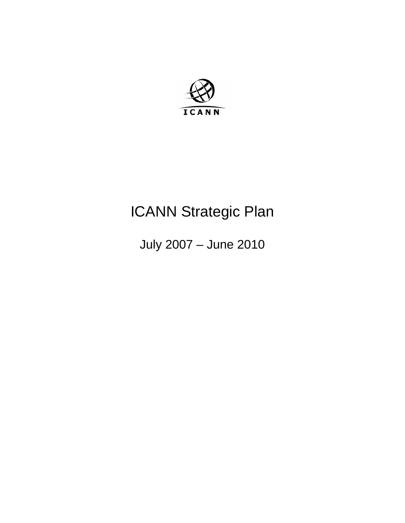

# ICANN Strategic Plan

July 2007 – June 2010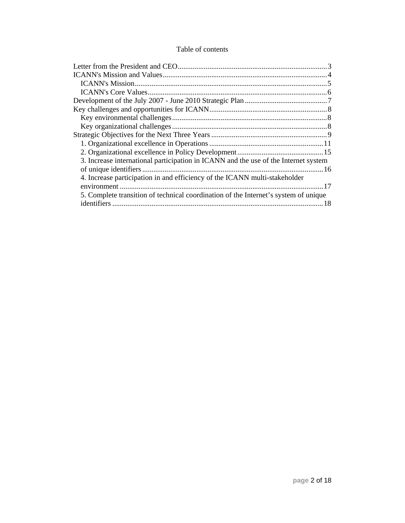#### Table of contents

| 3. Increase international participation in ICANN and the use of the Internet system |  |
|-------------------------------------------------------------------------------------|--|
|                                                                                     |  |
| 4. Increase participation in and efficiency of the ICANN multi-stakeholder          |  |
|                                                                                     |  |
| 5. Complete transition of technical coordination of the Internet's system of unique |  |
|                                                                                     |  |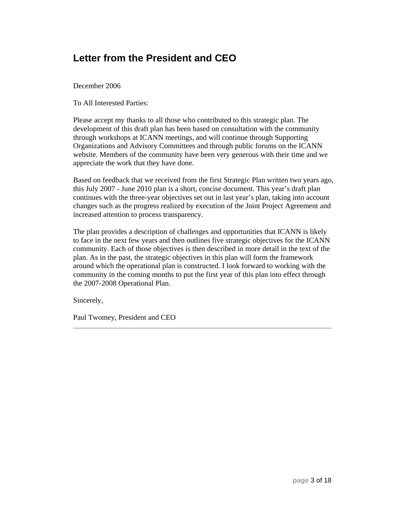#### **Letter from the President and CEO**

December 2006

To All Interested Parties:

Please accept my thanks to all those who contributed to this strategic plan. The development of this draft plan has been based on consultation with the community through workshops at ICANN meetings, and will continue through Supporting Organizations and Advisory Committees and through public forums on the ICANN website. Members of the community have been very generous with their time and we appreciate the work that they have done.

Based on feedback that we received from the first Strategic Plan written two years ago, this July 2007 - June 2010 plan is a short, concise document. This year's draft plan continues with the three-year objectives set out in last year's plan, taking into account changes such as the progress realized by execution of the Joint Project Agreement and increased attention to process transparency.

The plan provides a description of challenges and opportunities that ICANN is likely to face in the next few years and then outlines five strategic objectives for the ICANN community. Each of those objectives is then described in more detail in the text of the plan. As in the past, the strategic objectives in this plan will form the framework around which the operational plan is constructed. I look forward to working with the community in the coming months to put the first year of this plan into effect through the 2007-2008 Operational Plan.

Sincerely,

Paul Twomey, President and CEO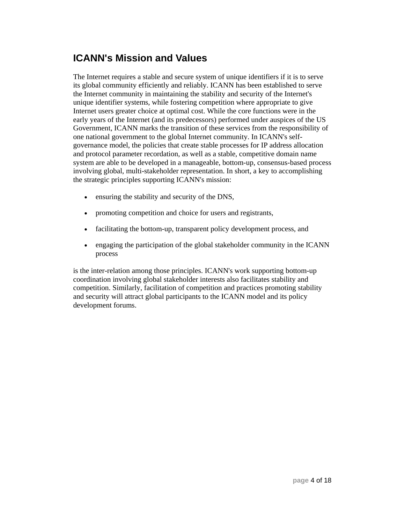#### **ICANN's Mission and Values**

The Internet requires a stable and secure system of unique identifiers if it is to serve its global community efficiently and reliably. ICANN has been established to serve the Internet community in maintaining the stability and security of the Internet's unique identifier systems, while fostering competition where appropriate to give Internet users greater choice at optimal cost. While the core functions were in the early years of the Internet (and its predecessors) performed under auspices of the US Government, ICANN marks the transition of these services from the responsibility of one national government to the global Internet community. In ICANN's selfgovernance model, the policies that create stable processes for IP address allocation and protocol parameter recordation, as well as a stable, competitive domain name system are able to be developed in a manageable, bottom-up, consensus-based process involving global, multi-stakeholder representation. In short, a key to accomplishing the strategic principles supporting ICANN's mission:

- ensuring the stability and security of the DNS,
- promoting competition and choice for users and registrants,
- facilitating the bottom-up, transparent policy development process, and
- engaging the participation of the global stakeholder community in the ICANN process

is the inter-relation among those principles. ICANN's work supporting bottom-up coordination involving global stakeholder interests also facilitates stability and competition. Similarly, facilitation of competition and practices promoting stability and security will attract global participants to the ICANN model and its policy development forums.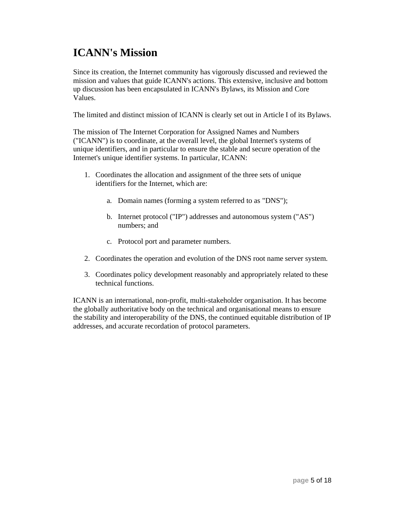# **ICANN's Mission**

Since its creation, the Internet community has vigorously discussed and reviewed the mission and values that guide ICANN's actions. This extensive, inclusive and bottom up discussion has been encapsulated in ICANN's Bylaws, its Mission and Core Values.

The limited and distinct mission of ICANN is clearly set out in Article I of its Bylaws.

The mission of The Internet Corporation for Assigned Names and Numbers ("ICANN") is to coordinate, at the overall level, the global Internet's systems of unique identifiers, and in particular to ensure the stable and secure operation of the Internet's unique identifier systems. In particular, ICANN:

- 1. Coordinates the allocation and assignment of the three sets of unique identifiers for the Internet, which are:
	- a. Domain names (forming a system referred to as "DNS");
	- b. Internet protocol ("IP") addresses and autonomous system ("AS") numbers; and
	- c. Protocol port and parameter numbers.
- 2. Coordinates the operation and evolution of the DNS root name server system.
- 3. Coordinates policy development reasonably and appropriately related to these technical functions.

ICANN is an international, non-profit, multi-stakeholder organisation. It has become the globally authoritative body on the technical and organisational means to ensure the stability and interoperability of the DNS, the continued equitable distribution of IP addresses, and accurate recordation of protocol parameters.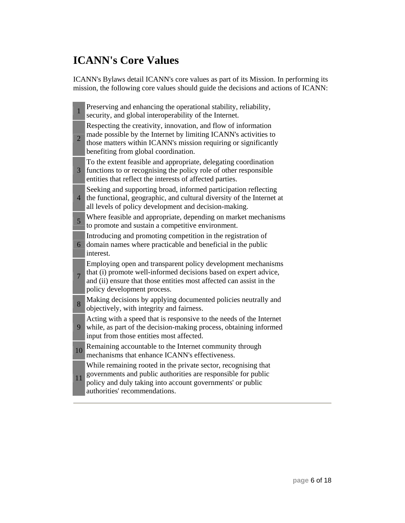# **ICANN's Core Values**

ICANN's Bylaws detail ICANN's core values as part of its Mission. In performing its mission, the following core values should guide the decisions and actions of ICANN:

| $\mathbf{1}$   | Preserving and enhancing the operational stability, reliability,<br>security, and global interoperability of the Internet.                                                                                                                   |
|----------------|----------------------------------------------------------------------------------------------------------------------------------------------------------------------------------------------------------------------------------------------|
| $\overline{2}$ | Respecting the creativity, innovation, and flow of information<br>made possible by the Internet by limiting ICANN's activities to<br>those matters within ICANN's mission requiring or significantly<br>benefiting from global coordination. |
| 3              | To the extent feasible and appropriate, delegating coordination<br>functions to or recognising the policy role of other responsible<br>entities that reflect the interests of affected parties.                                              |
| $\overline{4}$ | Seeking and supporting broad, informed participation reflecting<br>the functional, geographic, and cultural diversity of the Internet at<br>all levels of policy development and decision-making.                                            |
| $\overline{5}$ | Where feasible and appropriate, depending on market mechanisms<br>to promote and sustain a competitive environment.                                                                                                                          |
| 6              | Introducing and promoting competition in the registration of<br>domain names where practicable and beneficial in the public<br>interest.                                                                                                     |
| $\overline{7}$ | Employing open and transparent policy development mechanisms<br>that (i) promote well-informed decisions based on expert advice,<br>and (ii) ensure that those entities most affected can assist in the<br>policy development process.       |
| 8              | Making decisions by applying documented policies neutrally and<br>objectively, with integrity and fairness.                                                                                                                                  |
| 9              | Acting with a speed that is responsive to the needs of the Internet<br>while, as part of the decision-making process, obtaining informed<br>input from those entities most affected.                                                         |
| 10             | Remaining accountable to the Internet community through<br>mechanisms that enhance ICANN's effectiveness.                                                                                                                                    |
| 11             | While remaining rooted in the private sector, recognising that<br>governments and public authorities are responsible for public<br>policy and duly taking into account governments' or public<br>authorities' recommendations.               |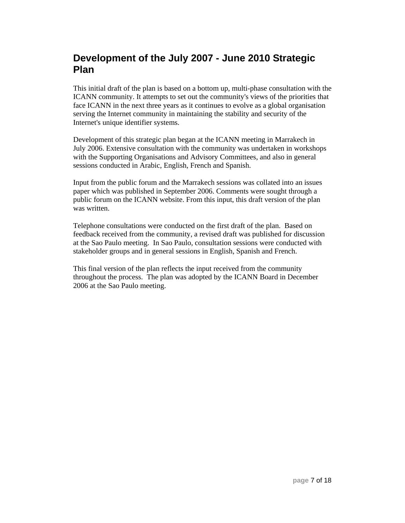#### **Development of the July 2007 - June 2010 Strategic Plan**

This initial draft of the plan is based on a bottom up, multi-phase consultation with the ICANN community. It attempts to set out the community's views of the priorities that face ICANN in the next three years as it continues to evolve as a global organisation serving the Internet community in maintaining the stability and security of the Internet's unique identifier systems.

Development of this strategic plan began at the ICANN meeting in Marrakech in July 2006. Extensive consultation with the community was undertaken in workshops with the Supporting Organisations and Advisory Committees, and also in general sessions conducted in Arabic, English, French and Spanish.

Input from the public forum and the Marrakech sessions was collated into an issues paper which was published in September 2006. Comments were sought through a public forum on the ICANN website. From this input, this draft version of the plan was written.

Telephone consultations were conducted on the first draft of the plan. Based on feedback received from the community, a revised draft was published for discussion at the Sao Paulo meeting. In Sao Paulo, consultation sessions were conducted with stakeholder groups and in general sessions in English, Spanish and French.

This final version of the plan reflects the input received from the community throughout the process. The plan was adopted by the ICANN Board in December 2006 at the Sao Paulo meeting.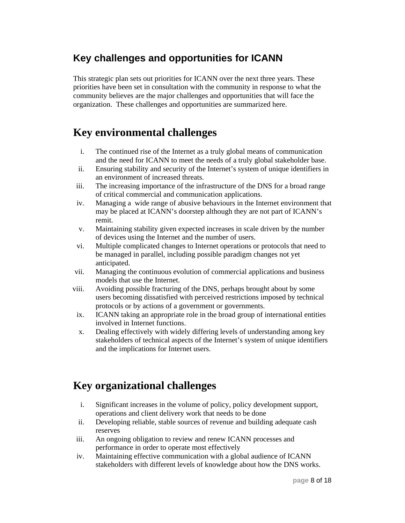#### **Key challenges and opportunities for ICANN**

This strategic plan sets out priorities for ICANN over the next three years. These priorities have been set in consultation with the community in response to what the community believes are the major challenges and opportunities that will face the organization. These challenges and opportunities are summarized here.

### **Key environmental challenges**

- i. The continued rise of the Internet as a truly global means of communication and the need for ICANN to meet the needs of a truly global stakeholder base.
- ii. Ensuring stability and security of the Internet's system of unique identifiers in an environment of increased threats.
- iii. The increasing importance of the infrastructure of the DNS for a broad range of critical commercial and communication applications.
- iv. Managing a wide range of abusive behaviours in the Internet environment that may be placed at ICANN's doorstep although they are not part of ICANN's remit.
- v. Maintaining stability given expected increases in scale driven by the number of devices using the Internet and the number of users.
- vi. Multiple complicated changes to Internet operations or protocols that need to be managed in parallel, including possible paradigm changes not yet anticipated.
- vii. Managing the continuous evolution of commercial applications and business models that use the Internet.
- viii. Avoiding possible fracturing of the DNS, perhaps brought about by some users becoming dissatisfied with perceived restrictions imposed by technical protocols or by actions of a government or governments.
- ix. ICANN taking an appropriate role in the broad group of international entities involved in Internet functions.
- x. Dealing effectively with widely differing levels of understanding among key stakeholders of technical aspects of the Internet's system of unique identifiers and the implications for Internet users.

# **Key organizational challenges**

- i. Significant increases in the volume of policy, policy development support, operations and client delivery work that needs to be done
- ii. Developing reliable, stable sources of revenue and building adequate cash reserves
- iii. An ongoing obligation to review and renew ICANN processes and performance in order to operate most effectively
- iv. Maintaining effective communication with a global audience of ICANN stakeholders with different levels of knowledge about how the DNS works.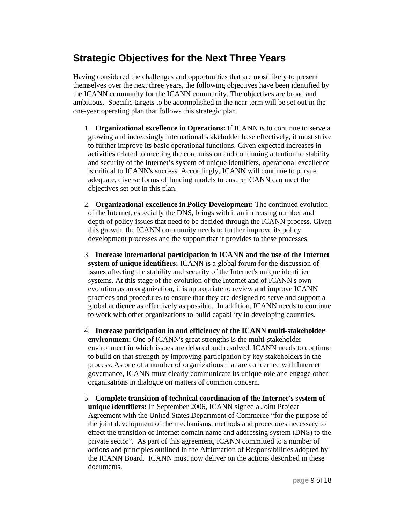#### **Strategic Objectives for the Next Three Years**

Having considered the challenges and opportunities that are most likely to present themselves over the next three years, the following objectives have been identified by the ICANN community for the ICANN community. The objectives are broad and ambitious. Specific targets to be accomplished in the near term will be set out in the one-year operating plan that follows this strategic plan.

- 1. **Organizational excellence in Operations:** If ICANN is to continue to serve a growing and increasingly international stakeholder base effectively, it must strive to further improve its basic operational functions. Given expected increases in activities related to meeting the core mission and continuing attention to stability and security of the Internet's system of unique identifiers, operational excellence is critical to ICANN's success. Accordingly, ICANN will continue to pursue adequate, diverse forms of funding models to ensure ICANN can meet the objectives set out in this plan.
- 2. **Organizational excellence in Policy Development:** The continued evolution of the Internet, especially the DNS, brings with it an increasing number and depth of policy issues that need to be decided through the ICANN process. Given this growth, the ICANN community needs to further improve its policy development processes and the support that it provides to these processes.
- 3. **Increase international participation in ICANN and the use of the Internet system of unique identifiers:** ICANN is a global forum for the discussion of issues affecting the stability and security of the Internet's unique identifier systems. At this stage of the evolution of the Internet and of ICANN's own evolution as an organization, it is appropriate to review and improve ICANN practices and procedures to ensure that they are designed to serve and support a global audience as effectively as possible. In addition, ICANN needs to continue to work with other organizations to build capability in developing countries.
- 4. **Increase participation in and efficiency of the ICANN multi-stakeholder environment:** One of ICANN's great strengths is the multi-stakeholder environment in which issues are debated and resolved. ICANN needs to continue to build on that strength by improving participation by key stakeholders in the process. As one of a number of organizations that are concerned with Internet governance, ICANN must clearly communicate its unique role and engage other organisations in dialogue on matters of common concern.
- 5. **Complete transition of technical coordination of the Internet's system of unique identifiers:** In September 2006, ICANN signed a Joint Project Agreement with the United States Department of Commerce "for the purpose of the joint development of the mechanisms, methods and procedures necessary to effect the transition of Internet domain name and addressing system (DNS) to the private sector". As part of this agreement, ICANN committed to a number of actions and principles outlined in the Affirmation of Responsibilities adopted by the ICANN Board. ICANN must now deliver on the actions described in these documents.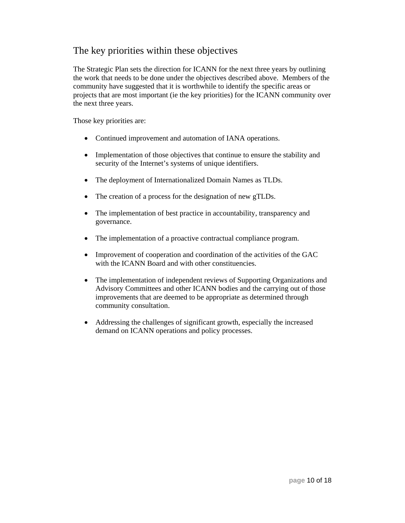#### The key priorities within these objectives

The Strategic Plan sets the direction for ICANN for the next three years by outlining the work that needs to be done under the objectives described above. Members of the community have suggested that it is worthwhile to identify the specific areas or projects that are most important (ie the key priorities) for the ICANN community over the next three years.

Those key priorities are:

- Continued improvement and automation of IANA operations.
- Implementation of those objectives that continue to ensure the stability and security of the Internet's systems of unique identifiers.
- The deployment of Internationalized Domain Names as TLDs.
- The creation of a process for the designation of new gTLDs.
- The implementation of best practice in accountability, transparency and governance.
- The implementation of a proactive contractual compliance program.
- Improvement of cooperation and coordination of the activities of the GAC with the ICANN Board and with other constituencies.
- The implementation of independent reviews of Supporting Organizations and Advisory Committees and other ICANN bodies and the carrying out of those improvements that are deemed to be appropriate as determined through community consultation.
- Addressing the challenges of significant growth, especially the increased demand on ICANN operations and policy processes.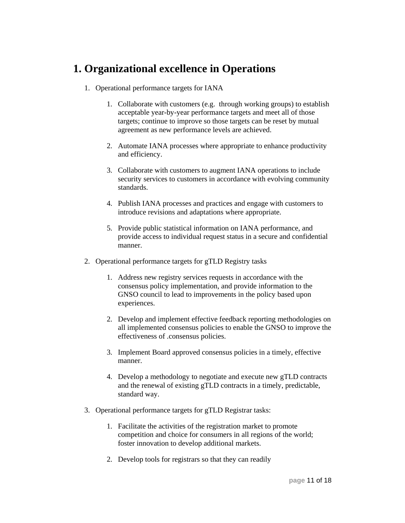#### **1. Organizational excellence in Operations**

- 1. Operational performance targets for IANA
	- 1. Collaborate with customers (e.g. through working groups) to establish acceptable year-by-year performance targets and meet all of those targets; continue to improve so those targets can be reset by mutual agreement as new performance levels are achieved.
	- 2. Automate IANA processes where appropriate to enhance productivity and efficiency.
	- 3. Collaborate with customers to augment IANA operations to include security services to customers in accordance with evolving community standards.
	- 4. Publish IANA processes and practices and engage with customers to introduce revisions and adaptations where appropriate.
	- 5. Provide public statistical information on IANA performance, and provide access to individual request status in a secure and confidential manner.
- 2. Operational performance targets for gTLD Registry tasks
	- 1. Address new registry services requests in accordance with the consensus policy implementation, and provide information to the GNSO council to lead to improvements in the policy based upon experiences.
	- 2. Develop and implement effective feedback reporting methodologies on all implemented consensus policies to enable the GNSO to improve the effectiveness of .consensus policies.
	- 3. Implement Board approved consensus policies in a timely, effective manner.
	- 4. Develop a methodology to negotiate and execute new gTLD contracts and the renewal of existing gTLD contracts in a timely, predictable, standard way.
- 3. Operational performance targets for gTLD Registrar tasks:
	- 1. Facilitate the activities of the registration market to promote competition and choice for consumers in all regions of the world; foster innovation to develop additional markets.
	- 2. Develop tools for registrars so that they can readily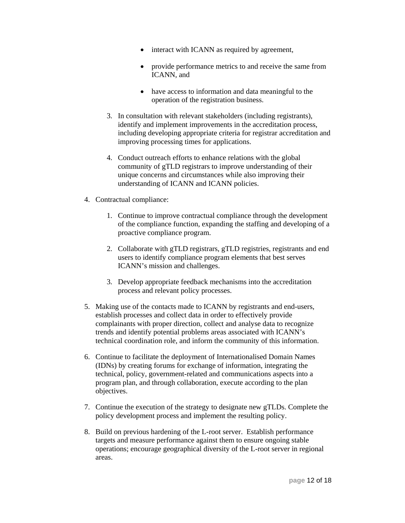- interact with ICANN as required by agreement,
- provide performance metrics to and receive the same from ICANN, and
- have access to information and data meaningful to the operation of the registration business.
- 3. In consultation with relevant stakeholders (including registrants), identify and implement improvements in the accreditation process, including developing appropriate criteria for registrar accreditation and improving processing times for applications.
- 4. Conduct outreach efforts to enhance relations with the global community of gTLD registrars to improve understanding of their unique concerns and circumstances while also improving their understanding of ICANN and ICANN policies.
- 4. Contractual compliance:
	- 1. Continue to improve contractual compliance through the development of the compliance function, expanding the staffing and developing of a proactive compliance program.
	- 2. Collaborate with gTLD registrars, gTLD registries, registrants and end users to identify compliance program elements that best serves ICANN's mission and challenges.
	- 3. Develop appropriate feedback mechanisms into the accreditation process and relevant policy processes.
- 5. Making use of the contacts made to ICANN by registrants and end-users, establish processes and collect data in order to effectively provide complainants with proper direction, collect and analyse data to recognize trends and identify potential problems areas associated with ICANN's technical coordination role, and inform the community of this information.
- 6. Continue to facilitate the deployment of Internationalised Domain Names (IDNs) by creating forums for exchange of information, integrating the technical, policy, government-related and communications aspects into a program plan, and through collaboration, execute according to the plan objectives.
- 7. Continue the execution of the strategy to designate new gTLDs. Complete the policy development process and implement the resulting policy.
- 8. Build on previous hardening of the L-root server. Establish performance targets and measure performance against them to ensure ongoing stable operations; encourage geographical diversity of the L-root server in regional areas.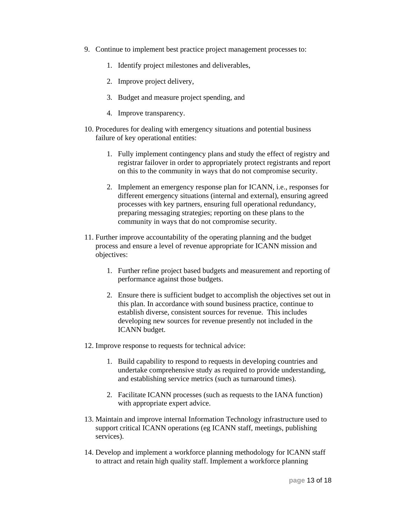- 9. Continue to implement best practice project management processes to:
	- 1. Identify project milestones and deliverables,
	- 2. Improve project delivery,
	- 3. Budget and measure project spending, and
	- 4. Improve transparency.
- 10. Procedures for dealing with emergency situations and potential business failure of key operational entities:
	- 1. Fully implement contingency plans and study the effect of registry and registrar failover in order to appropriately protect registrants and report on this to the community in ways that do not compromise security.
	- 2. Implement an emergency response plan for ICANN, i.e., responses for different emergency situations (internal and external), ensuring agreed processes with key partners, ensuring full operational redundancy, preparing messaging strategies; reporting on these plans to the community in ways that do not compromise security.
- 11. Further improve accountability of the operating planning and the budget process and ensure a level of revenue appropriate for ICANN mission and objectives:
	- 1. Further refine project based budgets and measurement and reporting of performance against those budgets.
	- 2. Ensure there is sufficient budget to accomplish the objectives set out in this plan. In accordance with sound business practice, continue to establish diverse, consistent sources for revenue. This includes developing new sources for revenue presently not included in the ICANN budget.
- 12. Improve response to requests for technical advice:
	- 1. Build capability to respond to requests in developing countries and undertake comprehensive study as required to provide understanding, and establishing service metrics (such as turnaround times).
	- 2. Facilitate ICANN processes (such as requests to the IANA function) with appropriate expert advice.
- 13. Maintain and improve internal Information Technology infrastructure used to support critical ICANN operations (eg ICANN staff, meetings, publishing services).
- 14. Develop and implement a workforce planning methodology for ICANN staff to attract and retain high quality staff. Implement a workforce planning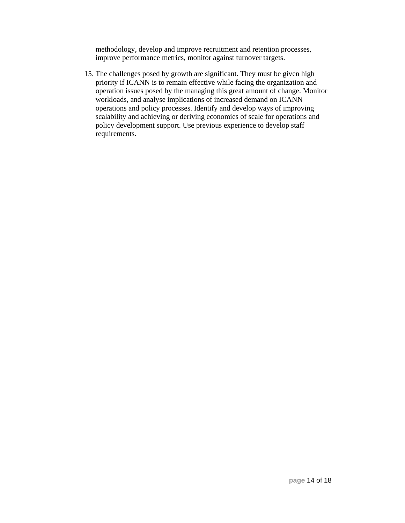methodology, develop and improve recruitment and retention processes, improve performance metrics, monitor against turnover targets.

15. The challenges posed by growth are significant. They must be given high priority if ICANN is to remain effective while facing the organization and operation issues posed by the managing this great amount of change. Monitor workloads, and analyse implications of increased demand on ICANN operations and policy processes. Identify and develop ways of improving scalability and achieving or deriving economies of scale for operations and policy development support. Use previous experience to develop staff requirements.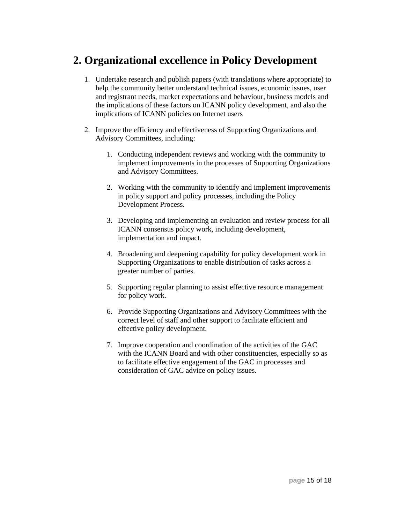# **2. Organizational excellence in Policy Development**

- 1. Undertake research and publish papers (with translations where appropriate) to help the community better understand technical issues, economic issues, user and registrant needs, market expectations and behaviour, business models and the implications of these factors on ICANN policy development, and also the implications of ICANN policies on Internet users
- 2. Improve the efficiency and effectiveness of Supporting Organizations and Advisory Committees, including:
	- 1. Conducting independent reviews and working with the community to implement improvements in the processes of Supporting Organizations and Advisory Committees.
	- 2. Working with the community to identify and implement improvements in policy support and policy processes, including the Policy Development Process.
	- 3. Developing and implementing an evaluation and review process for all ICANN consensus policy work, including development, implementation and impact.
	- 4. Broadening and deepening capability for policy development work in Supporting Organizations to enable distribution of tasks across a greater number of parties.
	- 5. Supporting regular planning to assist effective resource management for policy work.
	- 6. Provide Supporting Organizations and Advisory Committees with the correct level of staff and other support to facilitate efficient and effective policy development.
	- 7. Improve cooperation and coordination of the activities of the GAC with the ICANN Board and with other constituencies, especially so as to facilitate effective engagement of the GAC in processes and consideration of GAC advice on policy issues.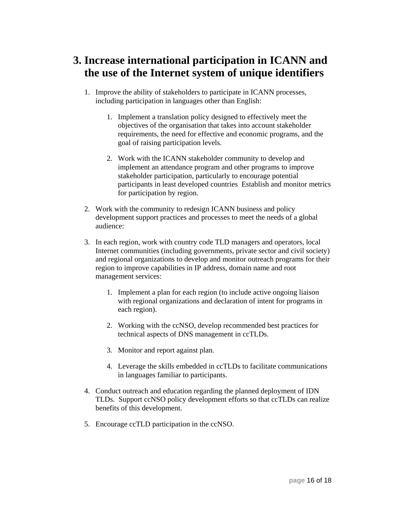# **3. Increase international participation in ICANN and the use of the Internet system of unique identifiers**

- 1. Improve the ability of stakeholders to participate in ICANN processes, including participation in languages other than English:
	- 1. Implement a translation policy designed to effectively meet the objectives of the organisation that takes into account stakeholder requirements, the need for effective and economic programs, and the goal of raising participation levels.
	- 2. Work with the ICANN stakeholder community to develop and implement an attendance program and other programs to improve stakeholder participation, particularly to encourage potential participants in least developed countries Establish and monitor metrics for participation by region.
- 2. Work with the community to redesign ICANN business and policy development support practices and processes to meet the needs of a global audience:
- 3. In each region, work with country code TLD managers and operators, local Internet communities (including governments, private sector and civil society) and regional organizations to develop and monitor outreach programs for their region to improve capabilities in IP address, domain name and root management services:
	- 1. Implement a plan for each region (to include active ongoing liaison with regional organizations and declaration of intent for programs in each region).
	- 2. Working with the ccNSO, develop recommended best practices for technical aspects of DNS management in ccTLDs.
	- 3. Monitor and report against plan.
	- 4. Leverage the skills embedded in ccTLDs to facilitate communications in languages familiar to participants.
- 4. Conduct outreach and education regarding the planned deployment of IDN TLDs. Support ccNSO policy development efforts so that ccTLDs can realize benefits of this development.
- 5. Encourage ccTLD participation in the ccNSO.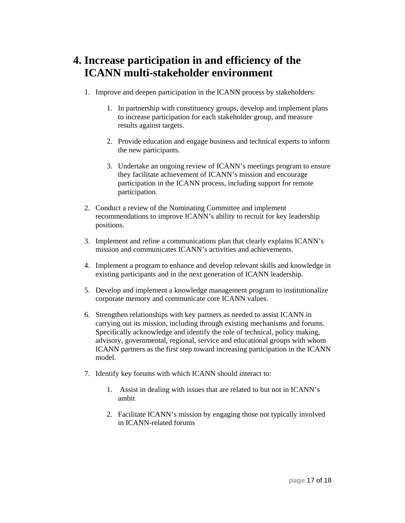# **4. Increase participation in and efficiency of the ICANN multi-stakeholder environment**

- 1. Improve and deepen participation in the ICANN process by stakeholders:
	- 1. In partnership with constituency groups, develop and implement plans to increase participation for each stakeholder group, and measure results against targets.
	- 2. Provide education and engage business and technical experts to inform the new participants.
	- 3. Undertake an ongoing review of ICANN's meetings program to ensure they facilitate achievement of ICANN's mission and encourage participation in the ICANN process, including support for remote participation.
- 2. Conduct a review of the Nominating Committee and implement recommendations to improve ICANN's ability to recruit for key leadership positions.
- 3. Implement and refine a communications plan that clearly explains ICANN's mission and communicates ICANN's activities and achievements.
- 4. Implement a program to enhance and develop relevant skills and knowledge in existing participants and in the next generation of ICANN leadership.
- 5. Develop and implement a knowledge management program to institutionalize corporate memory and communicate core ICANN values.
- 6. Strengthen relationships with key partners as needed to assist ICANN in carrying out its mission, including through existing mechanisms and forums. Specifically acknowledge and identify the role of technical, policy making, advisory, governmental, regional, service and educational groups with whom ICANN partners as the first step toward increasing participation in the ICANN model.
- 7. Identify key forums with which ICANN should interact to:
	- 1. Assist in dealing with issues that are related to but not in ICANN's ambit
	- 2. Facilitate ICANN's mission by engaging those not typically involved in ICANN-related forums